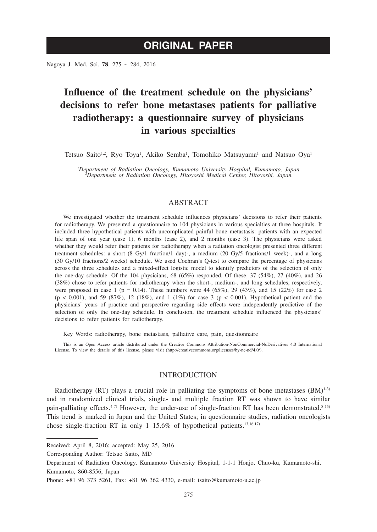Nagoya J. Med. Sci. **78**. 275 ~ 284, 2016

# **Influence of the treatment schedule on the physicians' decisions to refer bone metastases patients for palliative radiotherapy: a questionnaire survey of physicians in various specialties**

Tetsuo Saito<sup>1,2</sup>, Ryo Toya<sup>1</sup>, Akiko Semba<sup>1</sup>, Tomohiko Matsuyama<sup>1</sup> and Natsuo Oya<sup>1</sup>

*1 Department of Radiation Oncology, Kumamoto University Hospital, Kumamoto, Japan <sup>2</sup> Department of Radiation Oncology, Hitoyoshi Medical Center, Hitoyoshi, Japan*

# ABSTRACT

We investigated whether the treatment schedule influences physicians' decisions to refer their patients for radiotherapy. We presented a questionnaire to 104 physicians in various specialties at three hospitals. It included three hypothetical patients with uncomplicated painful bone metastasis: patients with an expected life span of one year (case 1), 6 months (case 2), and 2 months (case 3). The physicians were asked whether they would refer their patients for radiotherapy when a radiation oncologist presented three different treatment schedules: a short (8 Gy/1 fraction/1 day)-, a medium (20 Gy/5 fractions/1 week)-, and a long (30 Gy/10 fractions/2 weeks) schedule. We used Cochran's Q-test to compare the percentage of physicians across the three schedules and a mixed-effect logistic model to identify predictors of the selection of only the one-day schedule. Of the 104 physicians, 68 (65%) responded. Of these, 37 (54%), 27 (40%), and 26 (38%) chose to refer patients for radiotherapy when the short-, medium-, and long schedules, respectively, were proposed in case 1 (p = 0.14). These numbers were 44 (65%), 29 (43%), and 15 (22%) for case 2  $(p < 0.001)$ , and 59 (87%), 12 (18%), and 1 (1%) for case 3 ( $p < 0.001$ ). Hypothetical patient and the physicians' years of practice and perspective regarding side effects were independently predictive of the selection of only the one-day schedule. In conclusion, the treatment schedule influenced the physicians' decisions to refer patients for radiotherapy.

Key Words: radiotherapy, bone metastasis, palliative care, pain, questionnaire

This is an Open Access article distributed under the Creative Commons Attribution-NonCommercial-NoDerivatives 4.0 International License. To view the details of this license, please visit (http://creativecommons.org/licenses/by-nc-nd/4.0/).

# INTRODUCTION

Radiotherapy (RT) plays a crucial role in palliating the symptoms of bone metastases  $(BM)^{1-3}$ and in randomized clinical trials, single- and multiple fraction RT was shown to have similar pain-palliating effects.<sup>4-7)</sup> However, the under-use of single-fraction RT has been demonstrated.<sup>8-15)</sup> This trend is marked in Japan and the United States; in questionnaire studies, radiation oncologists chose single-fraction RT in only  $1-15.6\%$  of hypothetical patients.<sup>13,16,17)</sup>

Received: April 8, 2016; accepted: May 25, 2016

Corresponding Author: Tetsuo Saito, MD

Department of Radiation Oncology, Kumamoto University Hospital, 1-1-1 Honjo, Chuo-ku, Kumamoto-shi, Kumamoto, 860-8556, Japan

Phone: +81 96 373 5261, Fax: +81 96 362 4330, e-mail: tsaito@kumamoto-u.ac.jp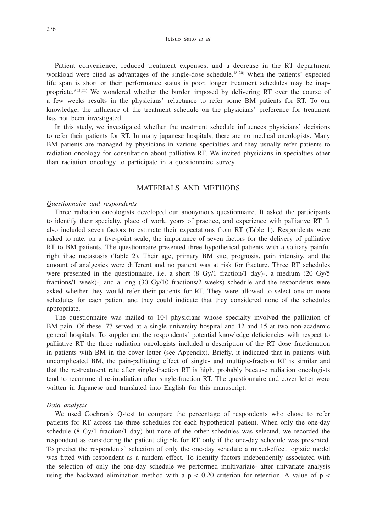#### Tetsuo Saito *et al.*

Patient convenience, reduced treatment expenses, and a decrease in the RT department workload were cited as advantages of the single-dose schedule.18-20) When the patients' expected life span is short or their performance status is poor, longer treatment schedules may be inappropriate.<sup>9,21,22)</sup> We wondered whether the burden imposed by delivering RT over the course of a few weeks results in the physicians' reluctance to refer some BM patients for RT. To our knowledge, the influence of the treatment schedule on the physicians' preference for treatment has not been investigated.

In this study, we investigated whether the treatment schedule influences physicians' decisions to refer their patients for RT. In many japanese hospitals, there are no medical oncologists. Many BM patients are managed by physicians in various specialties and they usually refer patients to radiation oncology for consultation about palliative RT. We invited physicians in specialties other than radiation oncology to participate in a questionnaire survey.

# MATERIALS AND METHODS

#### *Questionnaire and respondents*

Three radiation oncologists developed our anonymous questionnaire. It asked the participants to identify their specialty, place of work, years of practice, and experience with palliative RT. It also included seven factors to estimate their expectations from RT (Table 1). Respondents were asked to rate, on a five-point scale, the importance of seven factors for the delivery of palliative RT to BM patients. The questionnaire presented three hypothetical patients with a solitary painful right iliac metastasis (Table 2). Their age, primary BM site, prognosis, pain intensity, and the amount of analgesics were different and no patient was at risk for fracture. Three RT schedules were presented in the questionnaire, i.e. a short (8 Gy/1 fraction/1 day)-, a medium (20 Gy/5 fractions/1 week)-, and a long (30 Gy/10 fractions/2 weeks) schedule and the respondents were asked whether they would refer their patients for RT. They were allowed to select one or more schedules for each patient and they could indicate that they considered none of the schedules appropriate.

The questionnaire was mailed to 104 physicians whose specialty involved the palliation of BM pain. Of these, 77 served at a single university hospital and 12 and 15 at two non-academic general hospitals. To supplement the respondents' potential knowledge deficiencies with respect to palliative RT the three radiation oncologists included a description of the RT dose fractionation in patients with BM in the cover letter (see Appendix). Briefly, it indicated that in patients with uncomplicated BM, the pain-palliating effect of single- and multiple-fraction RT is similar and that the re-treatment rate after single-fraction RT is high, probably because radiation oncologists tend to recommend re-irradiation after single-fraction RT. The questionnaire and cover letter were written in Japanese and translated into English for this manuscript.

#### *Data analysis*

We used Cochran's Q-test to compare the percentage of respondents who chose to refer patients for RT across the three schedules for each hypothetical patient. When only the one-day schedule (8 Gy/1 fraction/1 day) but none of the other schedules was selected, we recorded the respondent as considering the patient eligible for RT only if the one-day schedule was presented. To predict the respondents' selection of only the one-day schedule a mixed-effect logistic model was fitted with respondent as a random effect. To identify factors independently associated with the selection of only the one-day schedule we performed multivariate- after univariate analysis using the backward elimination method with a  $p < 0.20$  criterion for retention. A value of  $p <$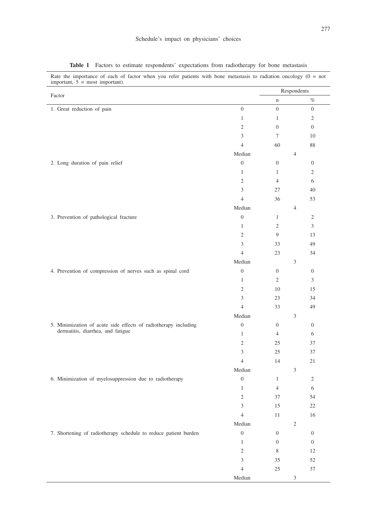| Factor                                                                                       |                  | Respondents      |                  |  |
|----------------------------------------------------------------------------------------------|------------------|------------------|------------------|--|
|                                                                                              |                  | $\mathbf n$      | $\%$             |  |
| 1. Great reduction of pain                                                                   | $\boldsymbol{0}$ | $\boldsymbol{0}$ | $\overline{0}$   |  |
|                                                                                              | $\mathbf{1}$     | $\mathbf{1}$     | $\overline{c}$   |  |
|                                                                                              | $\overline{c}$   | $\boldsymbol{0}$ | $\boldsymbol{0}$ |  |
|                                                                                              | 3                | $\tau$           | 10               |  |
|                                                                                              | $\overline{4}$   | 60               | 88               |  |
|                                                                                              | Median           |                  | $\overline{4}$   |  |
| 2. Long duration of pain relief                                                              | $\boldsymbol{0}$ | $\boldsymbol{0}$ | $\boldsymbol{0}$ |  |
|                                                                                              | $\mathbf{1}$     | $\mathbf{1}$     | $\overline{c}$   |  |
|                                                                                              | $\mathbf{2}$     | $\overline{4}$   | 6                |  |
|                                                                                              | 3                | 27               | 40               |  |
|                                                                                              | $\overline{4}$   | 36               | 53               |  |
|                                                                                              | Median           |                  | $\overline{4}$   |  |
| 3. Prevention of pathological fracture                                                       | $\boldsymbol{0}$ | $\mathbf{1}$     | $\mathfrak{2}$   |  |
|                                                                                              | $\mathbf{1}$     | $\overline{c}$   | 3                |  |
|                                                                                              | $\mathbf{2}$     | 9                | 13               |  |
|                                                                                              | 3                | 33               | 49               |  |
|                                                                                              | $\overline{4}$   | 23               | 34               |  |
|                                                                                              | Median           |                  | 3                |  |
| 4. Prevention of compression of nerves such as spinal cord                                   | $\boldsymbol{0}$ | $\boldsymbol{0}$ | $\boldsymbol{0}$ |  |
|                                                                                              | $\mathbf{1}$     | $\mathbf{2}$     | 3                |  |
|                                                                                              | $\overline{c}$   | 10               | 15               |  |
|                                                                                              | $\mathfrak{Z}$   | 23               | 34               |  |
|                                                                                              | $\overline{4}$   | 33               | 49               |  |
|                                                                                              | Median           |                  | 3                |  |
| 5. Minimization of acute side effects of radiotherapy including                              | $\boldsymbol{0}$ | $\boldsymbol{0}$ | $\boldsymbol{0}$ |  |
|                                                                                              | $\mathbf{1}$     | $\overline{4}$   | 6                |  |
|                                                                                              | $\mathfrak{2}$   | 25               | 37               |  |
|                                                                                              | 3                | 25               | 37               |  |
|                                                                                              | $\overline{4}$   | 14               | 21               |  |
|                                                                                              | Median           |                  | $\mathfrak{Z}$   |  |
| dermatitis, diarrhea, and fatigue<br>6. Minimization of myelosuppression due to radiotherapy | $\boldsymbol{0}$ | $\mathbf{1}$     | $\overline{c}$   |  |
|                                                                                              | $\mathbf{1}$     | $\overline{4}$   | 6                |  |
|                                                                                              | $\mathfrak{2}$   | 37               | 54               |  |
|                                                                                              | 3                | 15               | 22               |  |
|                                                                                              | $\overline{4}$   | $11\,$           | 16               |  |
|                                                                                              | Median           |                  | $\sqrt{2}$       |  |
| 7. Shortening of radiotherapy schedule to reduce patient burden                              | $\boldsymbol{0}$ | $\boldsymbol{0}$ | $\boldsymbol{0}$ |  |
|                                                                                              | $\,1\,$          | $\boldsymbol{0}$ | $\boldsymbol{0}$ |  |
|                                                                                              | $\sqrt{2}$       | $\,$ 8 $\,$      | $12\,$           |  |
|                                                                                              | $\mathfrak{Z}$   | 35               | 52               |  |
|                                                                                              | $\sqrt{4}$       | $25\,$           | 37               |  |
|                                                                                              | Median           |                  | $\mathfrak{Z}$   |  |

**Table 1** Factors to estimate respondents' expectations from radiotherapy for bone metastasis

Rate the importance of each of factor when you refer patients with bone metastasis to radiation oncology (0 = not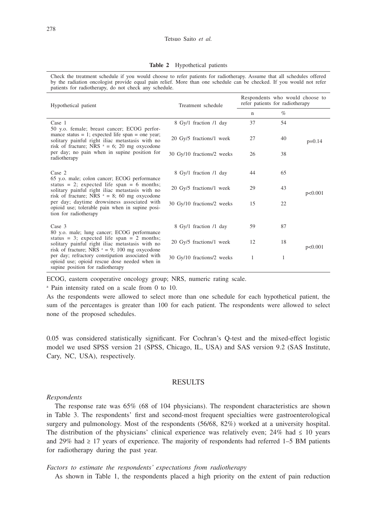**Table 2** Hypothetical patients

Check the treatment schedule if you would choose to refer patients for radiotherapy. Assume that all schedules offered by the radiation oncologist provide equal pain relief. More than one schedule can be checked. If you would not refer patients for radiotherapy, do not check any schedule.

| Hypothetical patient                                                                                                                                        | Treatment schedule         | Respondents who would choose to<br>refer patients for radiotherapy |      |          |  |
|-------------------------------------------------------------------------------------------------------------------------------------------------------------|----------------------------|--------------------------------------------------------------------|------|----------|--|
|                                                                                                                                                             |                            | $\mathbf n$                                                        | $\%$ |          |  |
| Case 1<br>50 y.o. female; breast cancer; ECOG perfor-                                                                                                       | 8 Gy/1 fraction /1 day     | 37                                                                 | 54   |          |  |
| mance status $= 1$ ; expected life span $=$ one year;<br>solitary painful right iliac metastasis with no<br>risk of fracture; NRS $a = 6$ ; 20 mg oxycodone | 20 Gy/5 fractions/1 week   | 27                                                                 | 40   | $p=0.14$ |  |
| per day; no pain when in supine position for<br>radiotherapy                                                                                                | 30 Gy/10 fractions/2 weeks | 26                                                                 | 38   |          |  |
| Case 2<br>65 y.o. male; colon cancer; ECOG performance                                                                                                      | 8 Gy/1 fraction /1 day     | 44                                                                 | 65   |          |  |
| status = 2; expected life span = 6 months;<br>solitary painful right iliac metastasis with no<br>risk of fracture; NRS $a = 8$ ; 60 mg oxycodone            | 20 Gy/5 fractions/1 week   | 29                                                                 | 43   | p<0.001  |  |
| per day; daytime drowsiness associated with<br>opioid use; tolerable pain when in supine posi-<br>tion for radiotherapy                                     | 30 Gy/10 fractions/2 weeks | 15                                                                 | 22   |          |  |
| Case 3<br>80 y.o. male; lung cancer; ECOG performance                                                                                                       | 8 Gy/1 fraction /1 day     | 59                                                                 | 87   |          |  |
| status = 3; expected life span = 2 months;<br>solitary painful right iliac metastasis with no<br>risk of fracture; NRS $a = 9$ ; 100 mg oxycodone           | 20 Gy/5 fractions/1 week   | 12                                                                 | 18   | p<0.001  |  |
| per day; refractory constipation associated with<br>opioid use; opioid rescue dose needed when in<br>supine position for radiotherapy                       | 30 Gy/10 fractions/2 weeks | 1                                                                  | 1    |          |  |

ECOG, eastern cooperative oncology group; NRS, numeric rating scale.

a Pain intensity rated on a scale from 0 to 10.

As the respondents were allowed to select more than one schedule for each hypothetical patient, the sum of the percentages is greater than 100 for each patient. The respondents were allowed to select none of the proposed schedules.

0.05 was considered statistically significant. For Cochran's Q-test and the mixed-effect logistic model we used SPSS version 21 (SPSS, Chicago, IL, USA) and SAS version 9.2 (SAS Institute, Cary, NC, USA), respectively.

# RESULTS

#### *Respondents*

The response rate was 65% (68 of 104 physicians). The respondent characteristics are shown in Table 3. The respondents' first and second-most frequent specialties were gastroenterological surgery and pulmonology. Most of the respondents (56/68, 82%) worked at a university hospital. The distribution of the physicians' clinical experience was relatively even; 24% had  $\leq 10$  years and 29% had  $\geq$  17 years of experience. The majority of respondents had referred 1–5 BM patients for radiotherapy during the past year.

## *Factors to estimate the respondents' expectations from radiotherapy*

As shown in Table 1, the respondents placed a high priority on the extent of pain reduction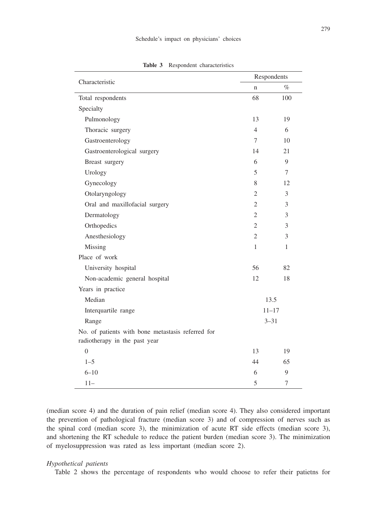| Characteristic                                    | Respondents                 |      |  |  |
|---------------------------------------------------|-----------------------------|------|--|--|
|                                                   | $\mathbf n$                 | $\%$ |  |  |
| Total respondents                                 | 68                          | 100  |  |  |
| Specialty                                         |                             |      |  |  |
| Pulmonology                                       | 13                          | 19   |  |  |
| Thoracic surgery                                  | $\overline{4}$              | 6    |  |  |
| Gastroenterology                                  | 7                           | 10   |  |  |
| Gastroenterological surgery                       | 14                          | 21   |  |  |
| Breast surgery                                    | 6                           | 9    |  |  |
| Urology                                           | 5                           | 7    |  |  |
| Gynecology                                        | 8                           | 12   |  |  |
| Otolaryngology                                    | 2                           | 3    |  |  |
| Oral and maxillofacial surgery                    | $\mathcal{D}_{\mathcal{L}}$ | 3    |  |  |
| Dermatology                                       | $\overline{2}$              | 3    |  |  |
| Orthopedics                                       | 2                           | 3    |  |  |
| Anesthesiology                                    | $\overline{2}$              | 3    |  |  |
| Missing                                           | 1                           | 1    |  |  |
| Place of work                                     |                             |      |  |  |
| University hospital                               | 56                          | 82   |  |  |
| Non-academic general hospital                     | 12                          | 18   |  |  |
| Years in practice                                 |                             |      |  |  |
| Median                                            | 13.5                        |      |  |  |
| Interquartile range                               | $11 - 17$                   |      |  |  |
| $3 - 31$<br>Range                                 |                             |      |  |  |
| No. of patients with bone metastasis referred for |                             |      |  |  |
| radiotherapy in the past year                     |                             |      |  |  |
| $\overline{0}$                                    | 13                          | 19   |  |  |
| $1 - 5$                                           | 44                          | 65   |  |  |
| $6 - 10$                                          | 6                           | 9    |  |  |
| $11 -$                                            | 5                           | 7    |  |  |

**Table 3** Respondent characteristics

(median score 4) and the duration of pain relief (median score 4). They also considered important the prevention of pathological fracture (median score 3) and of compression of nerves such as the spinal cord (median score 3), the minimization of acute RT side effects (median score 3), and shortening the RT schedule to reduce the patient burden (median score 3). The minimization of myelosuppression was rated as less important (median score 2).

## *Hypothetical patients*

Table 2 shows the percentage of respondents who would choose to refer their patietns for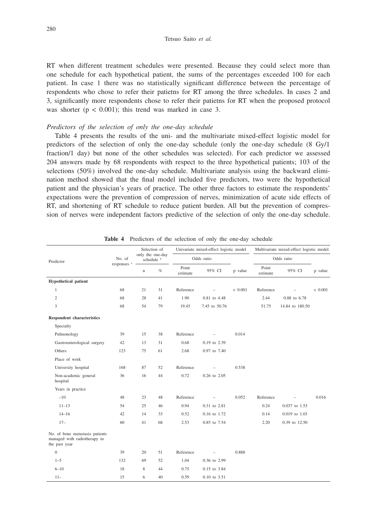RT when different treatment schedules were presented. Because they could select more than one schedule for each hypothetical patient, the sums of the percentages exceeded 100 for each patient. In case 1 there was no statistically significant difference between the percentage of respondents who chose to refer their patietns for RT among the three schedules. In cases 2 and 3, significantly more respondents chose to refer their patietns for RT when the proposed protocol was shorter ( $p < 0.001$ ); this trend was marked in case 3.

#### *Predictors of the selection of only the one-day schedule*

Table 4 presents the results of the uni- and the multivariate mixed-effect logistic model for predictors of the selection of only the one-day schedule (only the one-day schedule (8 Gy/1 fraction/1 day) but none of the other schedules was selected). For each predictor we assessed 204 answers made by 68 respondents with respect to the three hypothetical patients; 103 of the selections (50%) involved the one-day schedule. Multivariate analysis using the backward elimination method showed that the final model included five predictors, two were the hypothetical patient and the physician's years of practice. The other three factors to estimate the respondents' expectations were the prevention of compression of nerves, minimization of acute side effects of RT, and shortening of RT schedule to reduce patient burden. All but the prevention of compression of nerves were independent factors predictive of the selection of only the one-day schedule.

| Predictor                                                                        |                        | Selection of<br>only the one-day<br>schedule <sup>b</sup> |      | Univariate mixed-effect logistic model |               |         | Multivariate mixed-effect logistic model |                 |             |
|----------------------------------------------------------------------------------|------------------------|-----------------------------------------------------------|------|----------------------------------------|---------------|---------|------------------------------------------|-----------------|-------------|
|                                                                                  | No. of                 |                                                           |      | Odds ratio                             |               |         | Odds ratio                               |                 |             |
|                                                                                  | responses <sup>a</sup> | n                                                         | $\%$ | Point<br>estimate                      | 95% CI        | p value | Point<br>estimate                        | 95% CI          | p value     |
| <b>Hypothetical patient</b>                                                      |                        |                                                           |      |                                        |               |         |                                          |                 |             |
| $\mathbf{1}$                                                                     | 68                     | 21                                                        | 31   | Reference                              |               | < 0.001 | Reference                                |                 | ${}< 0.001$ |
| $\mathfrak{2}$                                                                   | 68                     | 28                                                        | 41   | 1.90                                   | 0.81 to 4.48  |         | 2.44                                     | 0.88 to 6.78    |             |
| 3                                                                                | 68                     | 54                                                        | 79   | 19.45                                  | 7.45 to 50.76 |         | 51.75                                    | 14.84 to 180.50 |             |
| <b>Respondent characteristics</b>                                                |                        |                                                           |      |                                        |               |         |                                          |                 |             |
| Specialty                                                                        |                        |                                                           |      |                                        |               |         |                                          |                 |             |
| Pulmonology                                                                      | 39                     | 15                                                        | 38   | Reference                              |               | 0.014   |                                          |                 |             |
| Gastroenterological surgery                                                      | 42                     | 13                                                        | 31   | 0.68                                   | 0.19 to 2.39  |         |                                          |                 |             |
| Others                                                                           | 123                    | 75                                                        | 61   | 2.68                                   | 0.97 to 7.40  |         |                                          |                 |             |
| Place of work                                                                    |                        |                                                           |      |                                        |               |         |                                          |                 |             |
| University hospital                                                              | 168                    | 87                                                        | 52   | Reference                              |               | 0.538   |                                          |                 |             |
| Non-academic general<br>hospital                                                 | 36                     | 16                                                        | 44   | 0.72                                   | 0.26 to 2.05  |         |                                          |                 |             |
| Years in practice                                                                |                        |                                                           |      |                                        |               |         |                                          |                 |             |
| $-10$                                                                            | 48                     | 23                                                        | 48   | Reference                              |               | 0.052   | Reference                                |                 | 0.016       |
| $11 - 13$                                                                        | 54                     | 25                                                        | 46   | 0.94                                   | 0.31 to 2.81  |         | 0.24                                     | 0.037 to 1.53   |             |
| $14 - 16$                                                                        | 42                     | 14                                                        | 33   | 0.52                                   | 0.16 to 1.72  |         | 0.14                                     | 0.019 to 1.03   |             |
| $17-$                                                                            | 60                     | 41                                                        | 68   | 2.53                                   | 0.85 to 7.54  |         | 2.20                                     | 0.39 to 12.50   |             |
| No. of bone metastasis patients<br>managed with radiotherapy in<br>the past year |                        |                                                           |      |                                        |               |         |                                          |                 |             |
| $\boldsymbol{0}$                                                                 | 39                     | 20                                                        | 51   | Reference                              | ÷             | 0.888   |                                          |                 |             |
| $1 - 5$                                                                          | 132                    | 69                                                        | 52   | 1.04                                   | 0.36 to 2.99  |         |                                          |                 |             |
| $6 - 10$                                                                         | 18                     | 8                                                         | 44   | 0.75                                   | 0.15 to 3.84  |         |                                          |                 |             |
| $11 -$                                                                           | 15                     | 6                                                         | 40   | 0.59                                   | 0.10 to 3.51  |         |                                          |                 |             |

**Table 4** Predictors of the selection of only the one-day schedule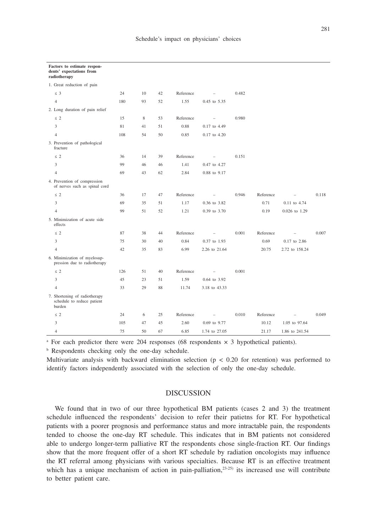| Factors to estimate respon-<br>dents' expectations from<br>radiotherapy |     |    |    |           |                          |       |           |                   |       |
|-------------------------------------------------------------------------|-----|----|----|-----------|--------------------------|-------|-----------|-------------------|-------|
| 1. Great reduction of pain                                              |     |    |    |           |                          |       |           |                   |       |
| $\leq$ 3                                                                | 24  | 10 | 42 | Reference | $\overline{\phantom{0}}$ | 0.482 |           |                   |       |
| $\overline{4}$                                                          | 180 | 93 | 52 | 1.55      | 0.45 to 5.35             |       |           |                   |       |
| 2. Long duration of pain relief                                         |     |    |    |           |                          |       |           |                   |       |
| $\leq 2$                                                                | 15  | 8  | 53 | Reference | $\overline{a}$           | 0.980 |           |                   |       |
| 3                                                                       | 81  | 41 | 51 | 0.88      | 0.17 to 4.49             |       |           |                   |       |
| $\overline{4}$                                                          | 108 | 54 | 50 | 0.85      | 0.17 to 4.20             |       |           |                   |       |
| 3. Prevention of pathological<br>fracture                               |     |    |    |           |                          |       |           |                   |       |
| $\leq$ 2                                                                | 36  | 14 | 39 | Reference | $\overline{\phantom{a}}$ | 0.151 |           |                   |       |
| 3                                                                       | 99  | 46 | 46 | 1.41      | 0.47 to 4.27             |       |           |                   |       |
| $\overline{4}$                                                          | 69  | 43 | 62 | 2.84      | 0.88 to 9.17             |       |           |                   |       |
| 4. Prevention of compression<br>of nerves such as spinal cord           |     |    |    |           |                          |       |           |                   |       |
| $\leq$ 2                                                                | 36  | 17 | 47 | Reference | $\overline{\phantom{0}}$ | 0.946 | Reference | $\qquad \qquad -$ | 0.118 |
| 3                                                                       | 69  | 35 | 51 | 1.17      | 0.36 to 3.82             |       | 0.71      | 0.11 to 4.74      |       |
| $\overline{4}$                                                          | 99  | 51 | 52 | 1.21      | 0.39 to 3.70             |       | 0.19      | 0.026 to 1.29     |       |
| 5. Minimization of acute side<br>effects                                |     |    |    |           |                          |       |           |                   |       |
| $\leq$ 2                                                                | 87  | 38 | 44 | Reference | $\overline{\phantom{a}}$ | 0.001 | Reference | $\qquad \qquad -$ | 0.007 |
| 3                                                                       | 75  | 30 | 40 | 0.84      | 0.37 to 1.93             |       | 0.69      | 0.17 to 2.86      |       |
| $\overline{4}$                                                          | 42  | 35 | 83 | 6.99      | 2.26 to 21.64            |       | 20.75     | 2.72 to 158.24    |       |
| 6. Minimization of myelosup-<br>pression due to radiotherapy            |     |    |    |           |                          |       |           |                   |       |
| $\leq$ 2                                                                | 126 | 51 | 40 | Reference | $\overline{\phantom{a}}$ | 0.001 |           |                   |       |
| $\overline{3}$                                                          | 45  | 23 | 51 | 1.59      | 0.64 to 3.92             |       |           |                   |       |
| $\overline{4}$                                                          | 33  | 29 | 88 | 11.74     | 3.18 to 43.33            |       |           |                   |       |
| 7. Shortening of radiotherapy<br>schedule to reduce patient<br>burden   |     |    |    |           |                          |       |           |                   |       |
| $\leq 2$                                                                | 24  | 6  | 25 | Reference | $\bar{ }$                | 0.010 | Reference | ÷                 | 0.049 |
| 3                                                                       | 105 | 47 | 45 | 2.60      | 0.69 to 9.77             |       | 10.12     | 1.05 to 97.64     |       |
| $\overline{4}$                                                          | 75  | 50 | 67 | 6.85      | 1.74 to 27.05            |       | 21.17     | 1.86 to 241.54    |       |

<sup>a</sup> For each predictor there were 204 responses (68 respondents  $\times$  3 hypothetical patients).

**b** Respondents checking only the one-day schedule.

Multivariate analysis with backward elimination selection ( $p < 0.20$  for retention) was performed to identify factors independently associated with the selection of only the one-day schedule.

## DISCUSSION

We found that in two of our three hypothetical BM patients (cases 2 and 3) the treatment schedule influenced the respondents' decision to refer their patietns for RT. For hypothetical patients with a poorer prognosis and performance status and more intractable pain, the respondents tended to choose the one-day RT schedule. This indicates that in BM patients not considered able to undergo longer-term palliative RT the respondents chose single-fraction RT. Our findings show that the more frequent offer of a short RT schedule by radiation oncologists may influence the RT referral among physicians with various specialties. Because RT is an effective treatment which has a unique mechanism of action in pain-palliation, $23-25$  its increased use will contribute to better patient care.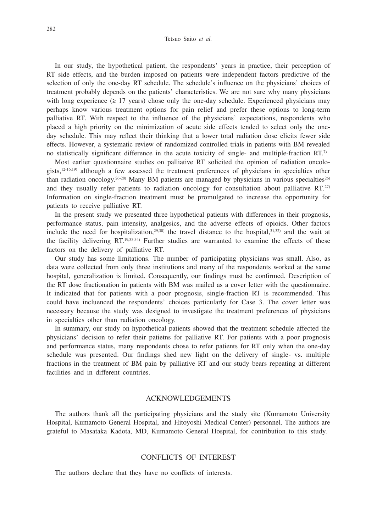In our study, the hypothetical patient, the respondents' years in practice, their perception of RT side effects, and the burden imposed on patients were independent factors predictive of the selection of only the one-day RT schedule. The schedule's influence on the physicians' choices of treatment probably depends on the patients' characteristics. We are not sure why many physicians with long experience ( $\geq$  17 years) chose only the one-day schedule. Experienced physicians may perhaps know various treatment options for pain relief and prefer these options to long-term palliative RT. With respect to the influence of the physicians' expectations, respondents who placed a high priority on the minimization of acute side effects tended to select only the oneday schedule. This may reflect their thinking that a lower total radiation dose elicits fewer side effects. However, a systematic review of randomized controlled trials in patients with BM revealed no statistically significant difference in the acute toxicity of single- and multiple-fraction RT.7)

Most earlier questionnaire studies on palliative RT solicited the opinion of radiation oncologists,12-16,19) although a few assessed the treatment preferences of physicians in specialties other than radiation oncology.<sup>26-28)</sup> Many BM patients are managed by physicians in various specialties<sup>26)</sup> and they usually refer patients to radiation oncology for consultation about palliative RT. $27$ ) Information on single-fraction treatment must be promulgated to increase the opportunity for patients to receive palliative RT.

In the present study we presented three hypothetical patients with differences in their prognosis, performance status, pain intensity, analgesics, and the adverse effects of opioids. Other factors include the need for hospitalization, $29,30$  the travel distance to the hospital, $31,32$ ) and the wait at the facility delivering RT.19,33,34) Further studies are warranted to examine the effects of these factors on the delivery of palliative RT.

Our study has some limitations. The number of participating physicians was small. Also, as data were collected from only three institutions and many of the respondents worked at the same hospital, generalization is limited. Consequently, our findings must be confirmed. Description of the RT dose fractionation in patients with BM was mailed as a cover letter with the questionnaire. It indicated that for patients with a poor prognosis, single-fraction RT is recommended. This could have incluenced the respondents' choices particularly for Case 3. The cover letter was necessary because the study was designed to investigate the treatment preferences of physicians in specialties other than radiation oncology.

In summary, our study on hypothetical patients showed that the treatment schedule affected the physicians' decision to refer their patietns for palliative RT. For patients with a poor prognosis and performance status, many respondents chose to refer patients for RT only when the one-day schedule was presented. Our findings shed new light on the delivery of single- vs. multiple fractions in the treatment of BM pain by palliative RT and our study bears repeating at different facilities and in different countries.

## ACKNOWLEDGEMENTS

The authors thank all the participating physicians and the study site (Kumamoto University Hospital, Kumamoto General Hospital, and Hitoyoshi Medical Center) personnel. The authors are grateful to Masataka Kadota, MD, Kumamoto General Hospital, for contribution to this study.

# CONFLICTS OF INTEREST

The authors declare that they have no conflicts of interests.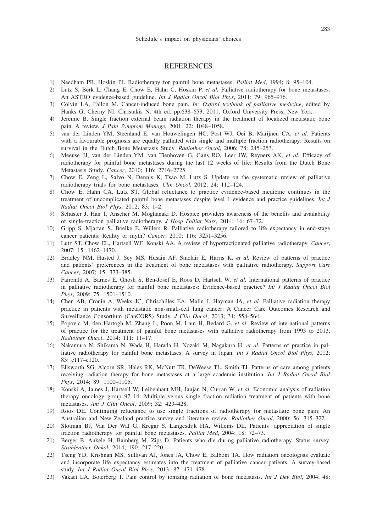### **REFERENCES**

- 1) Needham PR, Hoskin PJ. Radiotherapy for painful bone metastases. *Palliat Med*, 1994; 8: 95–104.
- 2) Lutz S, Berk L, Chang E, Chow E, Hahn C, Hoskin P, *et al.* Palliative radiotherapy for bone metastases: An ASTRO evidence-based guideline. *Int J Radiat Oncol Biol Phys*, 2011; 79: 965–976.
- 3) Colvin LA, Fallon M. Cancer-induced bone pain. *In: Oxford textbook of palliative medicine*, edited by Hanks G, Cherny NI, Christakis N. 4th ed. pp.638–653, 2011, Oxford University Press, New York.
- 4) Jeremic B. Single fraction external beam radiation therapy in the treatment of localized metastatic bone pain. A review. *J Pain Symptom Manage*, 2001; 22: 1048–1058.
- 5) van der Linden YM, Steenland E, van Houwelingen HC, Post WJ, Oei B, Marijnen CA, *et al.* Patients with a favourable prognosis are equally palliated with single and multiple fraction radiotherapy: Results on survival in the Dutch Bone Metastasis Study. *Radiother Oncol*, 2006; 78: 245–253.
- 6) Meeuse JJ, van der Linden YM, van Tienhoven G, Gans RO, Leer JW, Reyners AK, *et al.* Efficacy of radiotherapy for painful bone metastases during the last 12 weeks of life: Results from the Dutch Bone Metastasis Study. *Cancer*, 2010; 116: 2716–2725.
- 7) Chow E, Zeng L, Salvo N, Dennis K, Tsao M, Lutz S. Update on the systematic review of palliative radiotherapy trials for bone metastases. *Clin Oncol*, 2012; 24: 112–124.
- 8) Chow E, Hahn CA, Lutz ST. Global reluctance to practice evidence-based medicine continues in the treatment of uncomplicated painful bone metastases despite level 1 evidence and practice guidelines. *Int J Radiat Oncol Biol Phys*, 2012; 83: 1–2.
- 9) Schuster J, Han T, Anscher M, Moghanaki D. Hospice providers awareness of the benefits and availability of single-fraction palliative radiotherapy. *J Hosp Palliat Nurs*, 2014; 16: 67–72.
- 10) Gripp S, Mjartan S, Boelke E, Willers R. Palliative radiotherapy tailored to life expectancy in end-stage cancer patients: Reality or myth? *Cancer*, 2010; 116: 3251–3256.
- 11) Lutz ST, Chow EL, Hartsell WF, Konski AA. A review of hypofractionated palliative radiotherapy. *Cancer*, 2007; 15: 1462–1470.
- 12) Bradley NM, Husted J, Sey MS, Husain AF, Sinclair E, Harris K, *et al.* Review of patterns of practice and patients' preferences in the treatment of bone metastases with palliative radiotherapy. *Support Care Cancer*, 2007; 15: 373–385.
- 13) Fairchild A, Barnes E, Ghosh S, Ben-Josef E, Roos D, Hartsell W, *et al.* International patterns of practice in palliative radiotherapy for painful bone metastases: Evidence-based practice? *Int J Radiat Oncol Biol Phys*, 2009; 75: 1501–1510.
- 14) Chen AB, Cronin A, Weeks JC, Chrischilles EA, Malin J, Hayman JA, *et al.* Palliative radiation therapy practice in patients with metastatic non-small-cell lung cancer: A Cancer Care Outcomes Research and Surveillance Consortium (CanCORS) Study. *J Clin Oncol*, 2013; 31: 558–564.
- 15) Popovic M, den Hartogh M, Zhang L, Poon M, Lam H, Bedard G, *et al.* Review of international patterns of practice for the treatment of painful bone metastases with palliative radiotherapy from 1993 to 2013. *Radiother Oncol*, 2014; 111: 11–17.
- 16) Nakamura N, Shikama N, Wada H, Harada H, Nozaki M, Nagakura H, *et al.* Patterns of practice in palliative radiotherapy for painful bone metastases: A survey in Japan. *Int J Radiat Oncol Biol Phys*, 2012; 83: e117–e120.
- 17) Ellsworth SG, Alcorn SR, Hales RK, McNutt TR, DeWeese TL, Smith TJ. Patterns of care among patients receiving radiation therapy for bone metastases at a large academic institution. *Int J Radiat Oncol Biol Phys*, 2014; 89: 1100–1105.
- 18) Konski A, James J, Hartsell W, Leibenhaut MH, Janjan N, Curran W, *et al.* Economic analysis of radiation therapy oncology group 97–14: Multiple versus single fraction radiation treatment of patients with bone metastases. *Am J Clin Oncol*, 2009; 32: 423–428.
- 19) Roos DE. Continuing reluctance to use single fractions of radiotherapy for metastatic bone pain: An Australian and New Zealand practice survey and literature review. *Radiother Oncol*, 2000; 56: 315–322.
- 20) Slotman BJ, Van Der Wal G, Kregar S, Langesdijk HA, Willems DL. Patients' appreciation of single fraction radiotherapy for painful bone metastases. *Palliat Med*, 2004; 18: 72–73.
- 21) Berger B, Ankele H, Bamberg M, Zips D. Patients who die during palliative radiotherapy. Status survey. *Strahlenther Onkol*, 2014; 190: 217–220.
- 22) Tseng YD, Krishnan MS, Sullivan AJ, Jones JA, Chow E, Balboni TA. How radiation oncologists evaluate and incorporate life expectancy estimates into the treatment of palliative cancer patients: A survey-based study. *Int J Radiat Oncol Biol Phys*, 2013; 87: 471–478.
- 23) Vakaet LA, Boterberg T. Pain control by ionizing radiation of bone metastasis. *Int J Dev Biol*, 2004; 48: